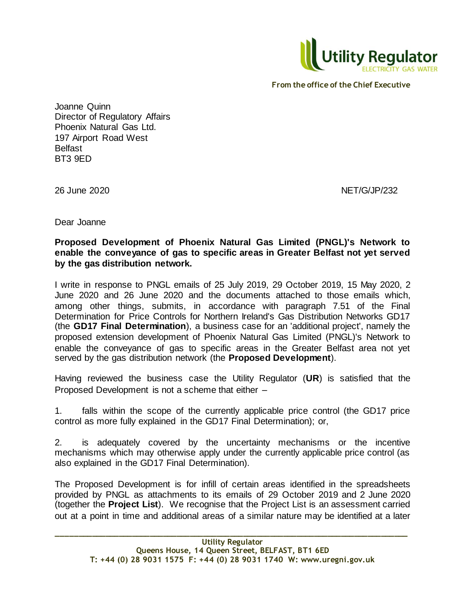

Joanne Quinn Director of Regulatory Affairs Phoenix Natural Gas Ltd. 197 Airport Road West Belfast BT3 9ED

26 June 2020 NET/G/JP/232

Dear Joanne

**Proposed Development of Phoenix Natural Gas Limited (PNGL)'s Network to enable the conveyance of gas to specific areas in Greater Belfast not yet served by the gas distribution network.**

I write in response to PNGL emails of 25 July 2019, 29 October 2019, 15 May 2020, 2 June 2020 and 26 June 2020 and the documents attached to those emails which, among other things, submits, in accordance with paragraph 7.51 of the Final Determination for Price Controls for Northern Ireland's Gas Distribution Networks GD17 (the **GD17 Final Determination**), a business case for an 'additional project', namely the proposed extension development of Phoenix Natural Gas Limited (PNGL)'s Network to enable the conveyance of gas to specific areas in the Greater Belfast area not yet served by the gas distribution network (the **Proposed Development**).

Having reviewed the business case the Utility Regulator (**UR**) is satisfied that the Proposed Development is not a scheme that either –

1. falls within the scope of the currently applicable price control (the GD17 price control as more fully explained in the GD17 Final Determination); or,

2. is adequately covered by the uncertainty mechanisms or the incentive mechanisms which may otherwise apply under the currently applicable price control (as also explained in the GD17 Final Determination).

The Proposed Development is for infill of certain areas identified in the spreadsheets provided by PNGL as attachments to its emails of 29 October 2019 and 2 June 2020 (together the **Project List**). We recognise that the Project List is an assessment carried out at a point in time and additional areas of a similar nature may be identified at a later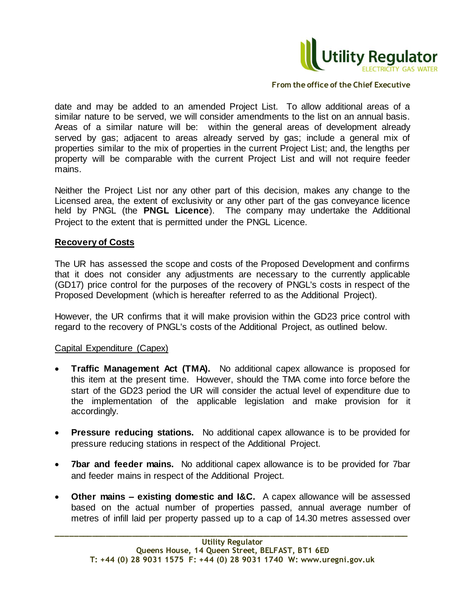

date and may be added to an amended Project List. To allow additional areas of a similar nature to be served, we will consider amendments to the list on an annual basis. Areas of a similar nature will be: within the general areas of development already served by gas; adjacent to areas already served by gas; include a general mix of properties similar to the mix of properties in the current Project List; and, the lengths per property will be comparable with the current Project List and will not require feeder mains.

Neither the Project List nor any other part of this decision, makes any change to the Licensed area, the extent of exclusivity or any other part of the gas conveyance licence held by PNGL (the **PNGL Licence**). The company may undertake the Additional Project to the extent that is permitted under the PNGL Licence.

# **Recovery of Costs**

The UR has assessed the scope and costs of the Proposed Development and confirms that it does not consider any adjustments are necessary to the currently applicable (GD17) price control for the purposes of the recovery of PNGL's costs in respect of the Proposed Development (which is hereafter referred to as the Additional Project).

However, the UR confirms that it will make provision within the GD23 price control with regard to the recovery of PNGL's costs of the Additional Project, as outlined below.

# Capital Expenditure (Capex)

- **Traffic Management Act (TMA).** No additional capex allowance is proposed for this item at the present time. However, should the TMA come into force before the start of the GD23 period the UR will consider the actual level of expenditure due to the implementation of the applicable legislation and make provision for it accordingly.
- **Pressure reducing stations.** No additional capex allowance is to be provided for pressure reducing stations in respect of the Additional Project.
- **7bar and feeder mains.** No additional capex allowance is to be provided for 7bar and feeder mains in respect of the Additional Project.
- **Other mains – existing domestic and I&C.** A capex allowance will be assessed based on the actual number of properties passed, annual average number of metres of infill laid per property passed up to a cap of 14.30 metres assessed over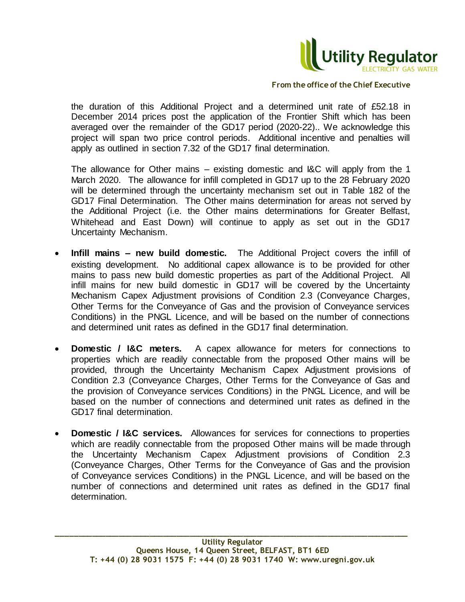

the duration of this Additional Project and a determined unit rate of £52.18 in December 2014 prices post the application of the Frontier Shift which has been averaged over the remainder of the GD17 period (2020-22).. We acknowledge this project will span two price control periods. Additional incentive and penalties will apply as outlined in section 7.32 of the GD17 final determination.

The allowance for Other mains – existing domestic and I&C will apply from the 1 March 2020. The allowance for infill completed in GD17 up to the 28 February 2020 will be determined through the uncertainty mechanism set out in Table 182 of the GD17 Final Determination. The Other mains determination for areas not served by the Additional Project (i.e. the Other mains determinations for Greater Belfast, Whitehead and East Down) will continue to apply as set out in the GD17 Uncertainty Mechanism.

- **Infill mains – new build domestic.** The Additional Project covers the infill of existing development. No additional capex allowance is to be provided for other mains to pass new build domestic properties as part of the Additional Project. All infill mains for new build domestic in GD17 will be covered by the Uncertainty Mechanism Capex Adjustment provisions of Condition 2.3 (Conveyance Charges, Other Terms for the Conveyance of Gas and the provision of Conveyance services Conditions) in the PNGL Licence, and will be based on the number of connections and determined unit rates as defined in the GD17 final determination.
- **Domestic / I&C meters.** A capex allowance for meters for connections to properties which are readily connectable from the proposed Other mains will be provided, through the Uncertainty Mechanism Capex Adjustment provisions of Condition 2.3 (Conveyance Charges, Other Terms for the Conveyance of Gas and the provision of Conveyance services Conditions) in the PNGL Licence, and will be based on the number of connections and determined unit rates as defined in the GD17 final determination.
- **Domestic / I&C services.** Allowances for services for connections to properties which are readily connectable from the proposed Other mains will be made through the Uncertainty Mechanism Capex Adjustment provisions of Condition 2.3 (Conveyance Charges, Other Terms for the Conveyance of Gas and the provision of Conveyance services Conditions) in the PNGL Licence, and will be based on the number of connections and determined unit rates as defined in the GD17 final determination.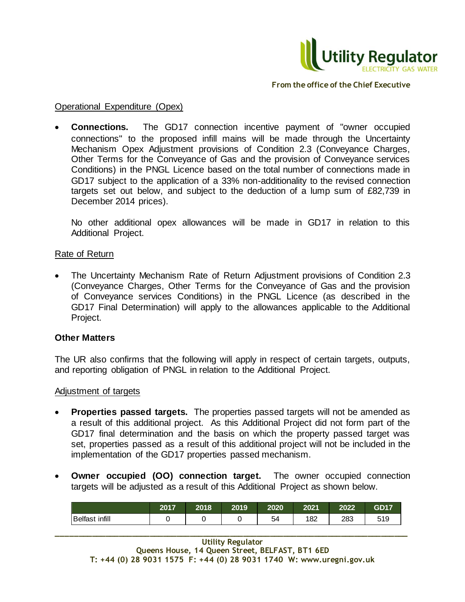

#### Operational Expenditure (Opex)

 **Connections.** The GD17 connection incentive payment of "owner occupied connections" to the proposed infill mains will be made through the Uncertainty Mechanism Opex Adjustment provisions of Condition 2.3 (Conveyance Charges, Other Terms for the Conveyance of Gas and the provision of Conveyance services Conditions) in the PNGL Licence based on the total number of connections made in GD17 subject to the application of a 33% non-additionality to the revised connection targets set out below, and subject to the deduction of a lump sum of £82,739 in December 2014 prices).

No other additional opex allowances will be made in GD17 in relation to this Additional Project.

# Rate of Return

 The Uncertainty Mechanism Rate of Return Adjustment provisions of Condition 2.3 (Conveyance Charges, Other Terms for the Conveyance of Gas and the provision of Conveyance services Conditions) in the PNGL Licence (as described in the GD17 Final Determination) will apply to the allowances applicable to the Additional Project.

# **Other Matters**

The UR also confirms that the following will apply in respect of certain targets, outputs, and reporting obligation of PNGL in relation to the Additional Project.

#### Adjustment of targets

- **Properties passed targets.** The properties passed targets will not be amended as a result of this additional project. As this Additional Project did not form part of the GD17 final determination and the basis on which the property passed target was set, properties passed as a result of this additional project will not be included in the implementation of the GD17 properties passed mechanism.
- **Owner occupied (OO) connection target.** The owner occupied connection targets will be adjusted as a result of this Additional Project as shown below.

|                       | 2017 | 2018 | 2019 | 2020 | 2021 | 2022 | <b>GD17</b> |
|-----------------------|------|------|------|------|------|------|-------------|
| <b>Belfast infill</b> |      |      |      | 54   | 182  | 283  | 519         |